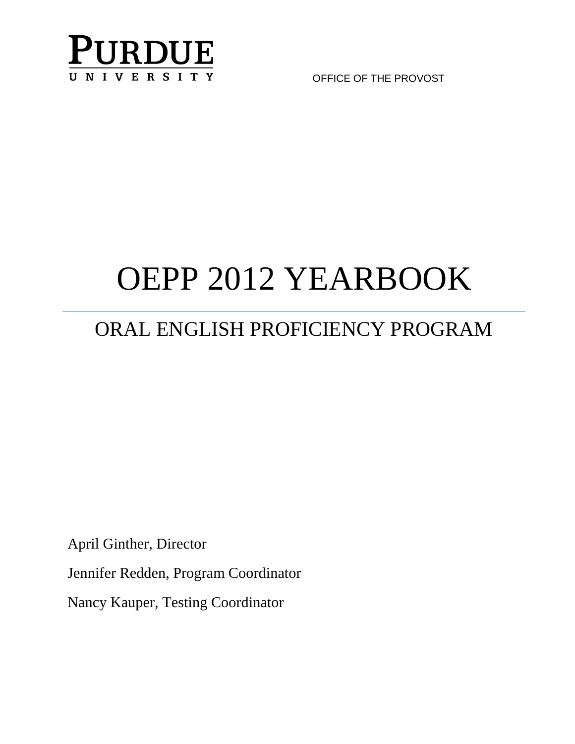

OFFICE OF THE PROVOST

# OEPP 2012 YEARBOOK

# ORAL ENGLISH PROFICIENCY PROGRAM

April Ginther, Director

Jennifer Redden, Program Coordinator

Nancy Kauper, Testing Coordinator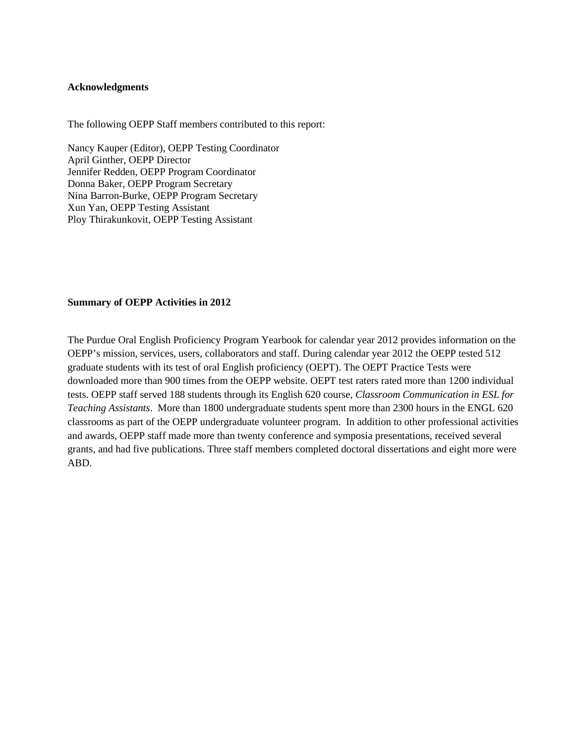#### <span id="page-1-0"></span>**Acknowledgments**

The following OEPP Staff members contributed to this report:

Nancy Kauper (Editor), OEPP Testing Coordinator April Ginther, OEPP Director Jennifer Redden, OEPP Program Coordinator Donna Baker, OEPP Program Secretary Nina Barron-Burke, OEPP Program Secretary Xun Yan, OEPP Testing Assistant Ploy Thirakunkovit, OEPP Testing Assistant

#### <span id="page-1-1"></span>**Summary of OEPP Activities in 2012**

The Purdue Oral English Proficiency Program Yearbook for calendar year 2012 provides information on the OEPP's mission, services, users, collaborators and staff. During calendar year 2012 the OEPP tested 512 graduate students with its test of oral English proficiency (OEPT). The OEPT Practice Tests were downloaded more than 900 times from the OEPP website. OEPT test raters rated more than 1200 individual tests. OEPP staff served 188 students through its English 620 course, *Classroom Communication in ESL for Teaching Assistants*. More than 1800 undergraduate students spent more than 2300 hours in the ENGL 620 classrooms as part of the OEPP undergraduate volunteer program. In addition to other professional activities and awards, OEPP staff made more than twenty conference and symposia presentations, received several grants, and had five publications. Three staff members completed doctoral dissertations and eight more were ABD.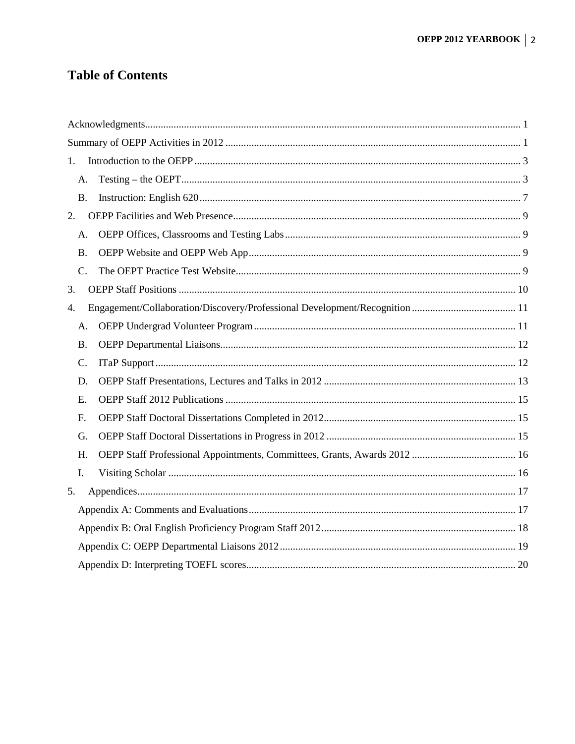# **Table of Contents**

| 1. |           |  |
|----|-----------|--|
|    | А.        |  |
|    | <b>B.</b> |  |
| 2. |           |  |
|    | А.        |  |
|    | <b>B.</b> |  |
|    | $C$ .     |  |
| 3. |           |  |
| 4. |           |  |
|    | А.        |  |
|    | <b>B.</b> |  |
|    | C.        |  |
|    | D.        |  |
|    | E.        |  |
|    | F.        |  |
|    | G.        |  |
|    | H.        |  |
|    | I.        |  |
| 5. |           |  |
|    |           |  |
|    |           |  |
|    |           |  |
|    |           |  |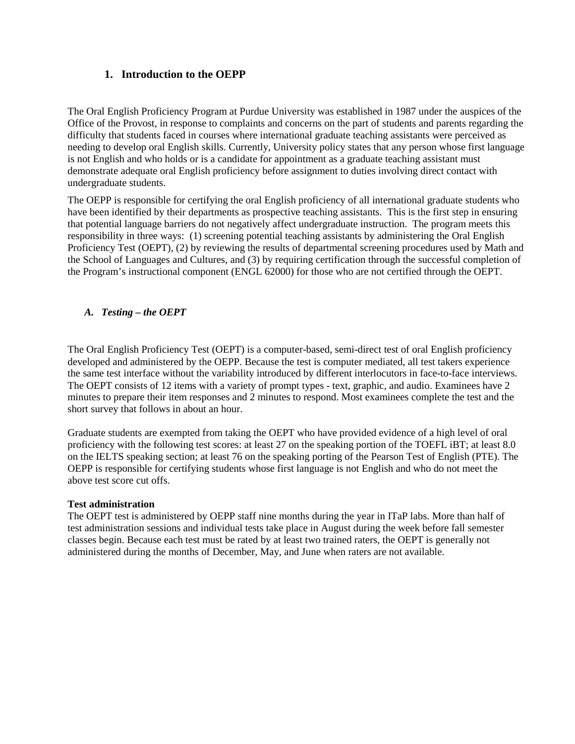# **1. Introduction to the OEPP**

<span id="page-3-0"></span>The Oral English Proficiency Program at Purdue University was established in 1987 under the auspices of the Office of the Provost, in response to complaints and concerns on the part of students and parents regarding the difficulty that students faced in courses where international graduate teaching assistants were perceived as needing to develop oral English skills. Currently, University policy states that any person whose first language is not English and who holds or is a candidate for appointment as a graduate teaching assistant must demonstrate adequate oral English proficiency before assignment to duties involving direct contact with undergraduate students.

The OEPP is responsible for certifying the oral English proficiency of all international graduate students who have been identified by their departments as prospective teaching assistants. This is the first step in ensuring that potential language barriers do not negatively affect undergraduate instruction. The program meets this responsibility in three ways: (1) screening potential teaching assistants by administering the Oral English Proficiency Test (OEPT), (2) by reviewing the results of departmental screening procedures used by Math and the School of Languages and Cultures, and (3) by requiring certification through the successful completion of the Program's instructional component (ENGL 62000) for those who are not certified through the OEPT.

# <span id="page-3-1"></span>*A. Testing – the OEPT*

The Oral English Proficiency Test (OEPT) is a computer-based, semi-direct test of oral English proficiency developed and administered by the OEPP. Because the test is computer mediated, all test takers experience the same test interface without the variability introduced by different interlocutors in face-to-face interviews. The OEPT consists of 12 items with a variety of prompt types - text, graphic, and audio. Examinees have 2 minutes to prepare their item responses and 2 minutes to respond. Most examinees complete the test and the short survey that follows in about an hour.

Graduate students are exempted from taking the OEPT who have provided evidence of a high level of oral proficiency with the following test scores: at least 27 on the speaking portion of the TOEFL iBT; at least 8.0 on the IELTS speaking section; at least 76 on the speaking porting of the Pearson Test of English (PTE). The OEPP is responsible for certifying students whose first language is not English and who do not meet the above test score cut offs.

#### **Test administration**

The OEPT test is administered by OEPP staff nine months during the year in ITaP labs. More than half of test administration sessions and individual tests take place in August during the week before fall semester classes begin. Because each test must be rated by at least two trained raters, the OEPT is generally not administered during the months of December, May, and June when raters are not available.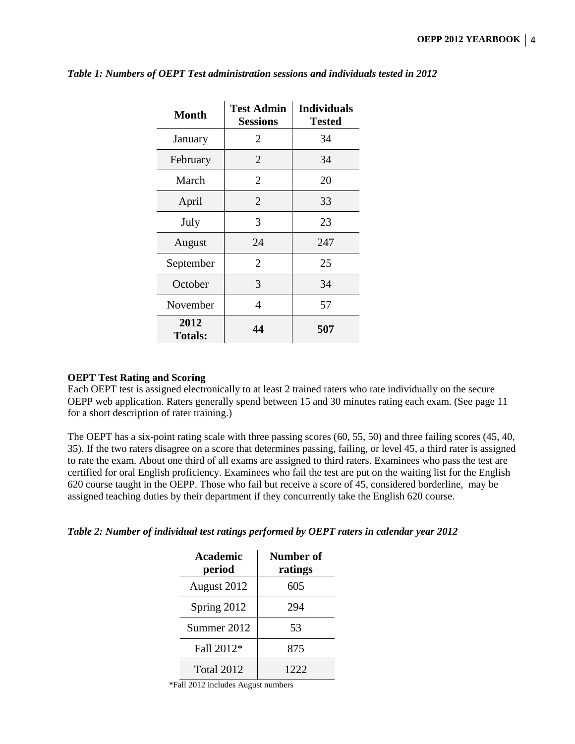| <b>Month</b>           | <b>Test Admin</b><br><b>Sessions</b> | <b>Individuals</b><br><b>Tested</b> |
|------------------------|--------------------------------------|-------------------------------------|
| January                | 2                                    | 34                                  |
| February               | $\overline{2}$                       | 34                                  |
| March                  | 2                                    | 20                                  |
| April                  | $\overline{2}$                       | 33                                  |
| July                   | 3                                    | 23                                  |
| August                 | 24                                   | 247                                 |
| September              | $\overline{2}$                       | 25                                  |
| October                | 3                                    | 34                                  |
| November               | 4                                    | 57                                  |
| 2012<br><b>Totals:</b> | 44                                   | 507                                 |

#### *Table 1: Numbers of OEPT Test administration sessions and individuals tested in 2012*

#### **OEPT Test Rating and Scoring**

Each OEPT test is assigned electronically to at least 2 trained raters who rate individually on the secure OEPP web application. Raters generally spend between 15 and 30 minutes rating each exam. (See page 11 for a short description of rater training.)

The OEPT has a six-point rating scale with three passing scores (60, 55, 50) and three failing scores (45, 40, 35). If the two raters disagree on a score that determines passing, failing, or level 45, a third rater is assigned to rate the exam. About one third of all exams are assigned to third raters. Examinees who pass the test are certified for oral English proficiency. Examinees who fail the test are put on the waiting list for the English 620 course taught in the OEPP. Those who fail but receive a score of 45, considered borderline, may be assigned teaching duties by their department if they concurrently take the English 620 course.

*Table 2: Number of individual test ratings performed by OEPT raters in calendar year 2012*

| Academic<br>period | Number of<br>ratings |
|--------------------|----------------------|
| August 2012        | 605                  |
| Spring 2012        | 294                  |
| Summer 2012        | 53                   |
| Fall 2012*         | 875                  |
| <b>Total 2012</b>  | 1222                 |

\*Fall 2012 includes August numbers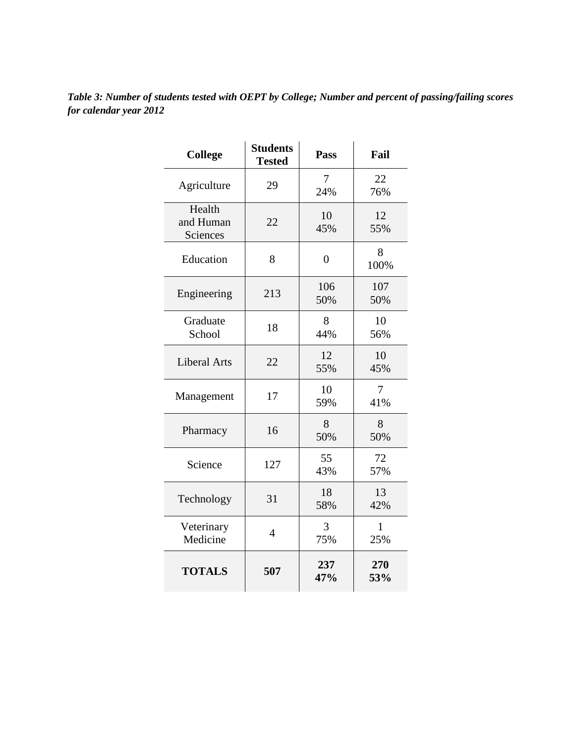| Table 3: Number of students tested with OEPT by College; Number and percent of passing/failing scores |
|-------------------------------------------------------------------------------------------------------|
| for calendar year 2012                                                                                |
|                                                                                                       |

| <b>College</b>                  | <b>Students</b><br><b>Tested</b> | <b>Pass</b>      | Fail       |
|---------------------------------|----------------------------------|------------------|------------|
| Agriculture                     | 29                               | 7<br>24%         | 22<br>76%  |
| Health<br>and Human<br>Sciences | 22                               | 10<br>45%        | 12<br>55%  |
| Education                       | 8                                | $\boldsymbol{0}$ | 8<br>100%  |
| Engineering                     | 213                              | 106<br>50%       | 107<br>50% |
| Graduate<br>School              | 18                               | 8<br>44%         | 10<br>56%  |
| <b>Liberal Arts</b>             | 22                               | 12<br>55%        | 10<br>45%  |
| Management                      | 17                               | 10<br>59%        | 7<br>41%   |
| Pharmacy                        | 16                               | 8<br>50%         | 8<br>50%   |
| Science                         | 127                              | 55<br>43%        | 72<br>57%  |
| Technology                      | 31                               | 18<br>58%        | 13<br>42%  |
| Veterinary<br>Medicine          | $\overline{4}$                   | 3<br>75%         | 1<br>25%   |
| <b>TOTALS</b>                   | 507                              | 237<br>47%       | 270<br>53% |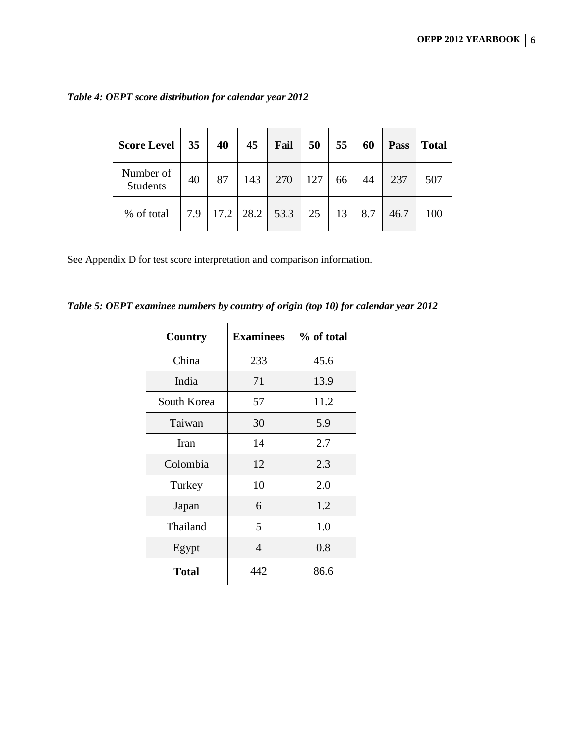| <b>Score Level</b>           | 35  | 40   | 45   | Fail | 50  | 55 | 60  | Pass | <b>Total</b> |
|------------------------------|-----|------|------|------|-----|----|-----|------|--------------|
| Number of<br><b>Students</b> | 40  | 87   | 143  | 270  | 127 | 66 | 44  | 237  | 507          |
| % of total                   | 7.9 | 17.2 | 28.2 | 53.3 | 25  | 13 | 8.7 | 46.7 | 100          |

*Table 4: OEPT score distribution for calendar year 2012*

See Appendix D for test score interpretation and comparison information.

*Table 5: OEPT examinee numbers by country of origin (top 10) for calendar year 2012*

| Country      | <b>Examinees</b> | % of total |
|--------------|------------------|------------|
| China        | 233              | 45.6       |
| India        | 71               | 13.9       |
| South Korea  | 57               | 11.2       |
| Taiwan       | 30               | 5.9        |
| Iran         | 14               | 2.7        |
| Colombia     | 12               | 2.3        |
| Turkey       | 10               | 2.0        |
| Japan        | 6                | 1.2        |
| Thailand     | 5                | 1.0        |
| Egypt        | 4                | 0.8        |
| <b>Total</b> | 442              | 86.6       |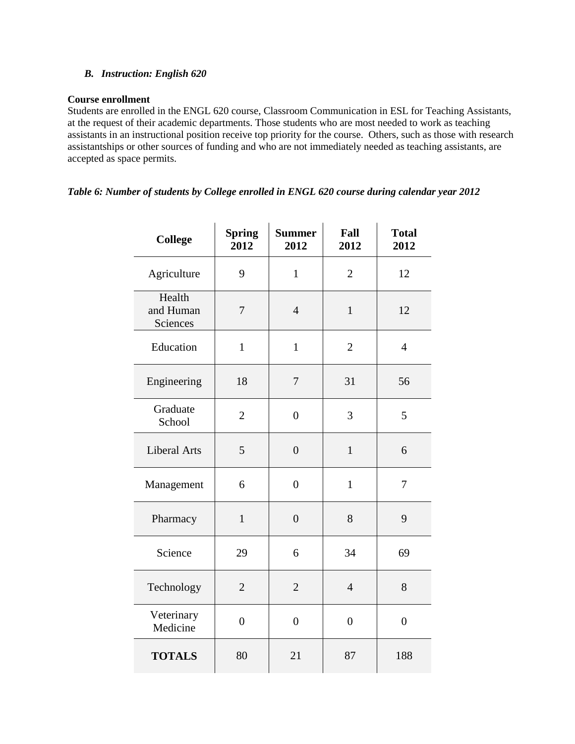#### <span id="page-7-0"></span>*B. Instruction: English 620*

#### **Course enrollment**

Students are enrolled in the ENGL 620 course, Classroom Communication in ESL for Teaching Assistants, at the request of their academic departments. Those students who are most needed to work as teaching assistants in an instructional position receive top priority for the course. Others, such as those with research assistantships or other sources of funding and who are not immediately needed as teaching assistants, are accepted as space permits.

#### *Table 6: Number of students by College enrolled in ENGL 620 course during calendar year 2012*

| <b>College</b>                  | <b>Spring</b><br>2012 | <b>Summer</b><br>2012 | Fall<br>2012   | <b>Total</b><br>2012 |
|---------------------------------|-----------------------|-----------------------|----------------|----------------------|
| Agriculture                     | 9                     | $\mathbf{1}$          | $\overline{2}$ | 12                   |
| Health<br>and Human<br>Sciences | $\tau$                | $\overline{4}$        | $\mathbf{1}$   | 12                   |
| Education                       | $\mathbf{1}$          | $\mathbf{1}$          | $\overline{2}$ | $\overline{4}$       |
| Engineering                     | 18                    | 7                     | 31             | 56                   |
| Graduate<br>School              | $\overline{2}$        | $\overline{0}$        | 3              | 5                    |
| <b>Liberal Arts</b>             | 5                     | $\overline{0}$        | $\mathbf{1}$   | 6                    |
| Management                      | 6                     | $\overline{0}$        | $\mathbf{1}$   | $\overline{7}$       |
| Pharmacy                        | $\mathbf{1}$          | $\overline{0}$        | 8              | 9                    |
| Science                         | 29                    | 6                     | 34             | 69                   |
| Technology                      | $\mathbf{2}$          | $\overline{2}$        | $\overline{4}$ | 8                    |
| Veterinary<br>Medicine          | $\overline{0}$        | $\overline{0}$        | $\overline{0}$ | $\overline{0}$       |
| <b>TOTALS</b>                   | 80                    | 21                    | 87             | 188                  |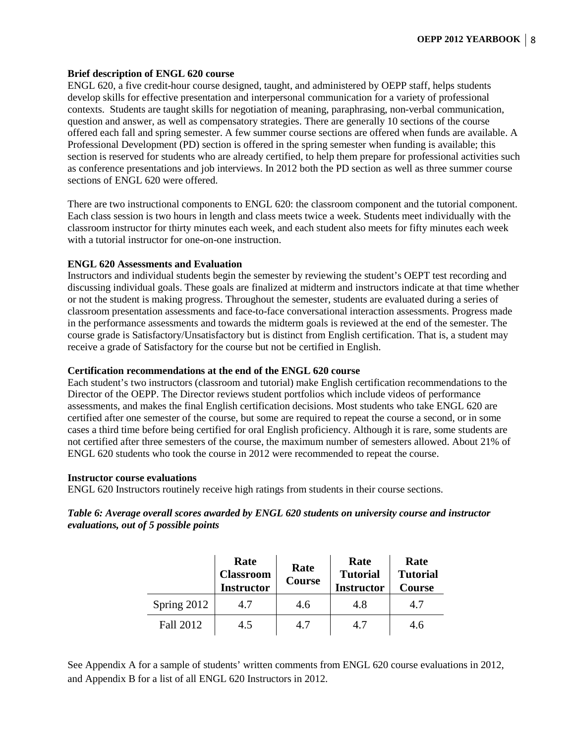#### **Brief description of ENGL 620 course**

ENGL 620, a five credit-hour course designed, taught, and administered by OEPP staff, helps students develop skills for effective presentation and interpersonal communication for a variety of professional contexts. Students are taught skills for negotiation of meaning, paraphrasing, non-verbal communication, question and answer, as well as compensatory strategies. There are generally 10 sections of the course offered each fall and spring semester. A few summer course sections are offered when funds are available. A Professional Development (PD) section is offered in the spring semester when funding is available; this section is reserved for students who are already certified, to help them prepare for professional activities such as conference presentations and job interviews. In 2012 both the PD section as well as three summer course sections of ENGL 620 were offered.

There are two instructional components to ENGL 620: the classroom component and the tutorial component. Each class session is two hours in length and class meets twice a week. Students meet individually with the classroom instructor for thirty minutes each week, and each student also meets for fifty minutes each week with a tutorial instructor for one-on-one instruction

#### **ENGL 620 Assessments and Evaluation**

Instructors and individual students begin the semester by reviewing the student's OEPT test recording and discussing individual goals. These goals are finalized at midterm and instructors indicate at that time whether or not the student is making progress. Throughout the semester, students are evaluated during a series of classroom presentation assessments and face-to-face conversational interaction assessments. Progress made in the performance assessments and towards the midterm goals is reviewed at the end of the semester. The course grade is Satisfactory/Unsatisfactory but is distinct from English certification. That is, a student may receive a grade of Satisfactory for the course but not be certified in English.

#### **Certification recommendations at the end of the ENGL 620 course**

Each student's two instructors (classroom and tutorial) make English certification recommendations to the Director of the OEPP. The Director reviews student portfolios which include videos of performance assessments, and makes the final English certification decisions. Most students who take ENGL 620 are certified after one semester of the course, but some are required to repeat the course a second, or in some cases a third time before being certified for oral English proficiency. Although it is rare, some students are not certified after three semesters of the course, the maximum number of semesters allowed. About 21% of ENGL 620 students who took the course in 2012 were recommended to repeat the course.

#### **Instructor course evaluations**

ENGL 620 Instructors routinely receive high ratings from students in their course sections.

*Table 6: Average overall scores awarded by ENGL 620 students on university course and instructor evaluations, out of 5 possible points*

|             | Rate<br><b>Classroom</b><br><b>Instructor</b> | Rate<br><b>Course</b> | Rate<br><b>Tutorial</b><br><b>Instructor</b> | Rate<br><b>Tutorial</b><br><b>Course</b> |
|-------------|-----------------------------------------------|-----------------------|----------------------------------------------|------------------------------------------|
| Spring 2012 | 4.7                                           | 4.6                   | 4.8                                          | 4.7                                      |
| Fall 2012   | 4.5                                           | 4.7                   | 4.7                                          | 4.6                                      |

See Appendix A for a sample of students' written comments from ENGL 620 course evaluations in 2012, and Appendix B for a list of all ENGL 620 Instructors in 2012.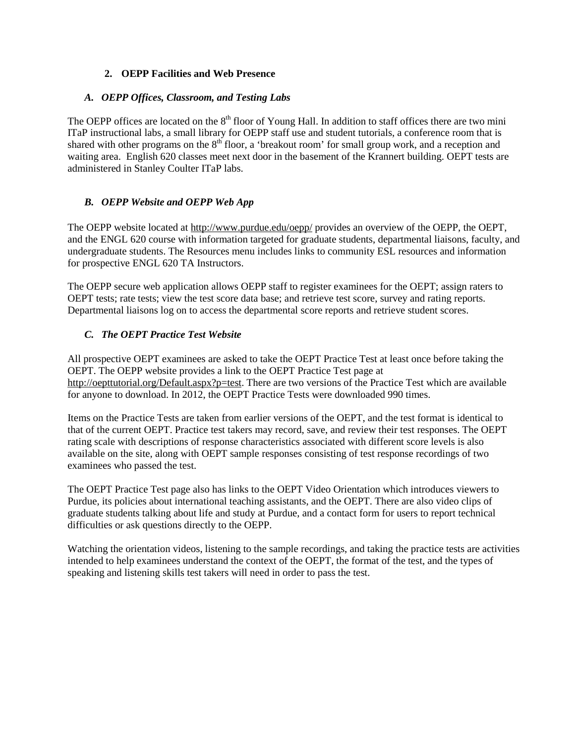# **2. OEPP Facilities and Web Presence**

#### <span id="page-9-1"></span><span id="page-9-0"></span>*A. OEPP Offices, Classroom, and Testing Labs*

The OEPP offices are located on the 8<sup>th</sup> floor of Young Hall. In addition to staff offices there are two mini ITaP instructional labs, a small library for OEPP staff use and student tutorials, a conference room that is shared with other programs on the  $8<sup>th</sup>$  floor, a 'breakout room' for small group work, and a reception and waiting area. English 620 classes meet next door in the basement of the Krannert building. OEPT tests are administered in Stanley Coulter ITaP labs.

# <span id="page-9-2"></span>*B. OEPP Website and OEPP Web App*

The OEPP website located at<http://www.purdue.edu/oepp/> provides an overview of the OEPP, the OEPT, and the ENGL 620 course with information targeted for graduate students, departmental liaisons, faculty, and undergraduate students. The Resources menu includes links to community ESL resources and information for prospective ENGL 620 TA Instructors.

The OEPP secure web application allows OEPP staff to register examinees for the OEPT; assign raters to OEPT tests; rate tests; view the test score data base; and retrieve test score, survey and rating reports. Departmental liaisons log on to access the departmental score reports and retrieve student scores.

#### <span id="page-9-3"></span>*C. The OEPT Practice Test Website*

All prospective OEPT examinees are asked to take the OEPT Practice Test at least once before taking the OEPT. The OEPP website provides a link to the OEPT Practice Test page at [http://oepttutorial.org/Default.aspx?p=test.](http://oepttutorial.org/Default.aspx?p=test) There are two versions of the Practice Test which are available for anyone to download. In 2012, the OEPT Practice Tests were downloaded 990 times.

Items on the Practice Tests are taken from earlier versions of the OEPT, and the test format is identical to that of the current OEPT. Practice test takers may record, save, and review their test responses. The OEPT rating scale with descriptions of response characteristics associated with different score levels is also available on the site, along with OEPT sample responses consisting of test response recordings of two examinees who passed the test.

The OEPT Practice Test page also has links to the OEPT Video Orientation which introduces viewers to Purdue, its policies about international teaching assistants, and the OEPT. There are also video clips of graduate students talking about life and study at Purdue, and a contact form for users to report technical difficulties or ask questions directly to the OEPP.

Watching the orientation videos, listening to the sample recordings, and taking the practice tests are activities intended to help examinees understand the context of the OEPT, the format of the test, and the types of speaking and listening skills test takers will need in order to pass the test.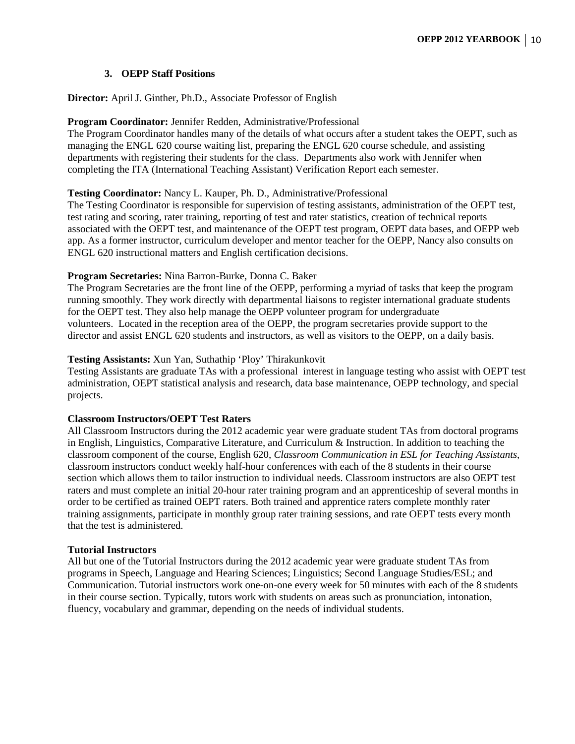#### **3. OEPP Staff Positions**

#### <span id="page-10-0"></span>**Director:** April J. Ginther, Ph.D., Associate Professor of English

#### **Program Coordinator:** Jennifer Redden, Administrative/Professional

The Program Coordinator handles many of the details of what occurs after a student takes the OEPT, such as managing the ENGL 620 course waiting list, preparing the ENGL 620 course schedule, and assisting departments with registering their students for the class. Departments also work with Jennifer when completing the ITA (International Teaching Assistant) Verification Report each semester.

#### **Testing Coordinator:** Nancy L. Kauper, Ph. D., Administrative/Professional

The Testing Coordinator is responsible for supervision of testing assistants, administration of the OEPT test, test rating and scoring, rater training, reporting of test and rater statistics, creation of technical reports associated with the OEPT test, and maintenance of the OEPT test program, OEPT data bases, and OEPP web app. As a former instructor, curriculum developer and mentor teacher for the OEPP, Nancy also consults on ENGL 620 instructional matters and English certification decisions.

#### **Program Secretaries:** Nina Barron-Burke, Donna C. Baker

The Program Secretaries are the front line of the OEPP, performing a myriad of tasks that keep the program running smoothly. They work directly with departmental liaisons to register international graduate students for the OEPT test. They also help manage the OEPP volunteer program for undergraduate volunteers. Located in the reception area of the OEPP, the program secretaries provide support to the director and assist ENGL 620 students and instructors, as well as visitors to the OEPP, on a daily basis.

#### **Testing Assistants:** Xun Yan, Suthathip 'Ploy' Thirakunkovit

Testing Assistants are graduate TAs with a professional interest in language testing who assist with OEPT test administration, OEPT statistical analysis and research, data base maintenance, OEPP technology, and special projects.

#### **Classroom Instructors/OEPT Test Raters**

All Classroom Instructors during the 2012 academic year were graduate student TAs from doctoral programs in English, Linguistics, Comparative Literature, and Curriculum & Instruction. In addition to teaching the classroom component of the course, English 620, *Classroom Communication in ESL for Teaching Assistants*, classroom instructors conduct weekly half-hour conferences with each of the 8 students in their course section which allows them to tailor instruction to individual needs. Classroom instructors are also OEPT test raters and must complete an initial 20-hour rater training program and an apprenticeship of several months in order to be certified as trained OEPT raters. Both trained and apprentice raters complete monthly rater training assignments, participate in monthly group rater training sessions, and rate OEPT tests every month that the test is administered.

#### **Tutorial Instructors**

All but one of the Tutorial Instructors during the 2012 academic year were graduate student TAs from programs in Speech, Language and Hearing Sciences; Linguistics; Second Language Studies/ESL; and Communication. Tutorial instructors work one-on-one every week for 50 minutes with each of the 8 students in their course section. Typically, tutors work with students on areas such as pronunciation, intonation, fluency, vocabulary and grammar, depending on the needs of individual students.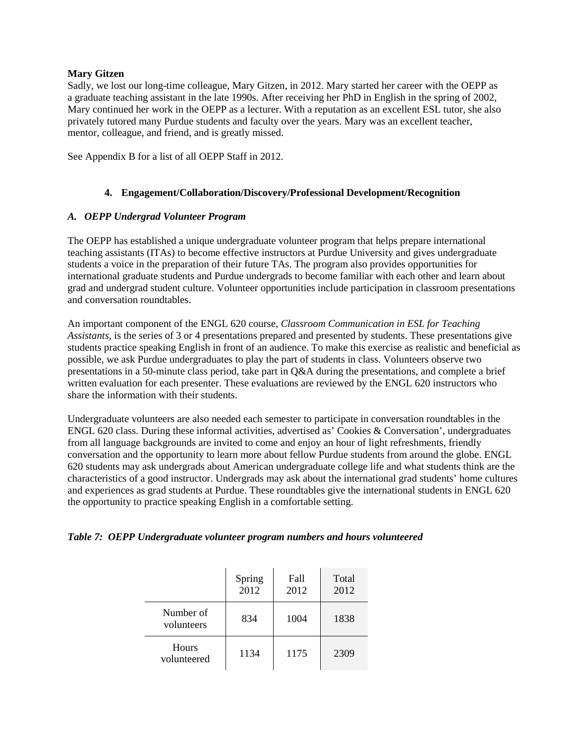#### **Mary Gitzen**

Sadly, we lost our long-time colleague, Mary Gitzen, in 2012. Mary started her career with the OEPP as a graduate teaching assistant in the late 1990s. After receiving her PhD in English in the spring of 2002, Mary continued her work in the OEPP as a lecturer. With a reputation as an excellent ESL tutor, she also privately tutored many Purdue students and faculty over the years. Mary was an excellent teacher, mentor, colleague, and friend, and is greatly missed.

See Appendix B for a list of all OEPP Staff in 2012.

#### **4. Engagement/Collaboration/Discovery/Professional Development/Recognition**

#### <span id="page-11-1"></span><span id="page-11-0"></span>*A. OEPP Undergrad Volunteer Program*

The OEPP has established a unique undergraduate volunteer program that helps prepare international teaching assistants (ITAs) to become effective instructors at Purdue University and gives undergraduate students a voice in the preparation of their future TAs. The program also provides opportunities for international graduate students and Purdue undergrads to become familiar with each other and learn about grad and undergrad student culture. Volunteer opportunities include participation in classroom presentations and conversation roundtables.

An important component of the ENGL 620 course, *[Classroom Communication in ESL for Teaching](http://www.purdue.edu/oepp/engl62000/index.html)  [Assistants](http://www.purdue.edu/oepp/engl62000/index.html)*, is the series of 3 or 4 presentations prepared and presented by students. These presentations give students practice speaking English in front of an audience. To make this exercise as realistic and beneficial as possible, we ask Purdue undergraduates to play the part of students in class. Volunteers observe two presentations in a 50-minute class period, take part in Q&A during the presentations, and complete a [brief](http://www.purdue.edu/oepp/documents/UGpresentationevaluation.pdf)  [written evaluation](http://www.purdue.edu/oepp/documents/UGpresentationevaluation.pdf) for each presenter. These evaluations are reviewed by the ENGL 620 instructors who share the information with their students.

Undergraduate volunteers are also needed each semester to participate in conversation roundtables in the ENGL 620 class. During these informal activities, advertised as' Cookies & Conversation', undergraduates from all language backgrounds are invited to come and enjoy an hour of light refreshments, friendly conversation and the opportunity to learn more about fellow Purdue students from around the globe. ENGL 620 students may ask undergrads about American undergraduate college life and what students think are the characteristics of a good instructor. Undergrads may ask about the international grad students' home cultures and experiences as grad students at Purdue. These roundtables give the international students in ENGL 620 the opportunity to practice speaking English in a comfortable setting.

|  | Table 7: OEPP Undergraduate volunteer program numbers and hours volunteered |  |
|--|-----------------------------------------------------------------------------|--|
|  |                                                                             |  |

|                         | Spring<br>2012 | Fall<br>2012 | Total<br>2012 |
|-------------------------|----------------|--------------|---------------|
| Number of<br>volunteers | 834            | 1004         | 1838          |
| Hours<br>volunteered    | 1134           | 1175         | 2309          |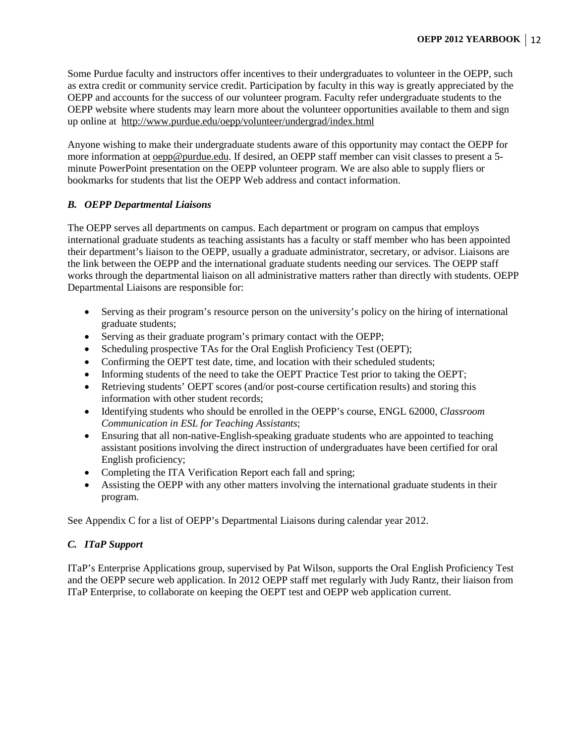Some Purdue faculty and instructors offer incentives to their undergraduates to volunteer in the OEPP, such as extra credit or community service credit. Participation by faculty in this way is greatly appreciated by the OEPP and accounts for the success of our volunteer program. Faculty [refer undergraduate students to the](http://www.purdue.edu/oepp/volunteer/undergrad/index.html)  [OEPP website](http://www.purdue.edu/oepp/volunteer/undergrad/index.html) where students may learn more about the volunteer opportunities available to them and sign up online at <http://www.purdue.edu/oepp/volunteer/undergrad/index.html>

Anyone wishing to make their undergraduate students aware of this opportunity may contact the OEPP for more information a[t oepp@purdue.edu.](mailto:oepp@purdue.edu) If desired, an OEPP staff member can visit classes to present a 5 minute PowerPoint presentation on the OEPP volunteer program. We are also able to supply fliers or bookmarks for students that list the OEPP Web address and contact information.

# <span id="page-12-0"></span>*B. OEPP Departmental Liaisons*

The OEPP serves all departments on campus. Each department or program on campus that employs international graduate students as teaching assistants has a faculty or staff member who has been appointed their department's liaison to the OEPP, usually a graduate administrator, secretary, or advisor. Liaisons are the link between the OEPP and the international graduate students needing our services. The OEPP staff works through the departmental liaison on all administrative matters rather than directly with students. OEPP Departmental Liaisons are responsible for:

- Serving as their program's resource person on the university's policy on the hiring of international graduate students;
- Serving as their graduate program's primary contact with the OEPP;
- Scheduling prospective TAs for the Oral English Proficiency Test (OEPT);
- Confirming the OEPT test date, time, and location with their scheduled students;
- Informing students of the need to take the OEPT Practice Test prior to taking the OEPT;
- Retrieving students' OEPT scores (and/or post-course certification results) and storing this information with other student records;
- Identifying students who should be enrolled in the OEPP's course, ENGL 62000, *Classroom Communication in ESL for Teaching Assistants*;
- Ensuring that all non-native-English-speaking graduate students who are appointed to teaching assistant positions involving the direct instruction of undergraduates have been certified for oral English proficiency;
- Completing the ITA Verification Report each fall and spring;
- Assisting the OEPP with any other matters involving the international graduate students in their program.

See Appendix C for a list of OEPP's Departmental Liaisons during calendar year 2012.

# <span id="page-12-1"></span>*C. ITaP Support*

ITaP's Enterprise Applications group, supervised by Pat Wilson, supports the Oral English Proficiency Test and the OEPP secure web application. In 2012 OEPP staff met regularly with Judy Rantz, their liaison from ITaP Enterprise, to collaborate on keeping the OEPT test and OEPP web application current.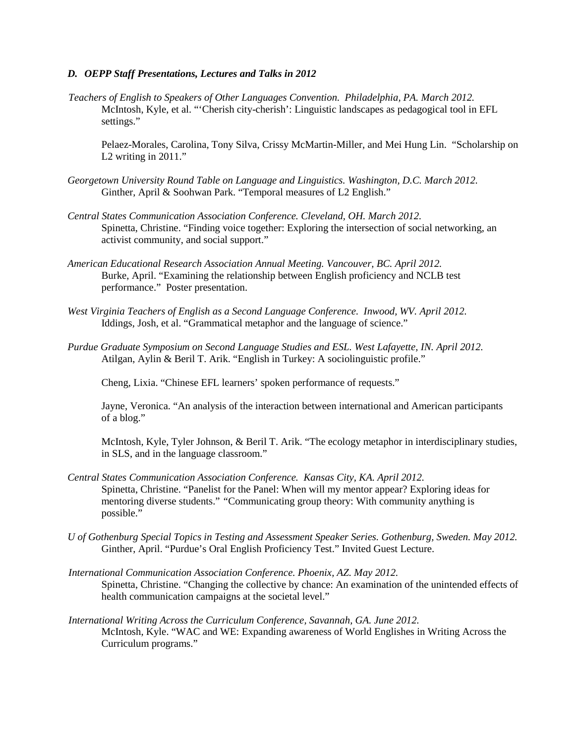#### <span id="page-13-0"></span>*D. OEPP Staff Presentations, Lectures and Talks in 2012*

*Teachers of English to Speakers of Other Languages Convention. Philadelphia, PA. March 2012.* McIntosh, Kyle, et al. "'Cherish city-cherish': Linguistic landscapes as pedagogical tool in EFL settings."

Pelaez-Morales, Carolina, Tony Silva, Crissy McMartin-Miller, and Mei Hung Lin. "Scholarship on L2 writing in 2011."

- *Georgetown University Round Table on Language and Linguistics. Washington, D.C. March 2012.* Ginther, April & Soohwan Park. "Temporal measures of L2 English."
- *Central States Communication Association Conference. Cleveland, OH. March 2012.* Spinetta, Christine. "Finding voice together: Exploring the intersection of social networking, an activist community, and social support."
- *American Educational Research Association Annual Meeting. Vancouver, BC. April 2012.* Burke, April. "Examining the relationship between English proficiency and NCLB test performance." Poster presentation.
- *West Virginia Teachers of English as a Second Language Conference. Inwood, WV. April 2012.* Iddings, Josh, et al. "Grammatical metaphor and the language of science."
- *Purdue Graduate Symposium on Second Language Studies and ESL. West Lafayette, IN. April 2012.* Atilgan, Aylin & Beril T. Arik. "English in Turkey: A sociolinguistic profile."

Cheng, Lixia. "Chinese EFL learners' spoken performance of requests."

Jayne, Veronica. "An analysis of the interaction between international and American participants of a blog."

McIntosh, Kyle, Tyler Johnson, & Beril T. Arik. "The ecology metaphor in interdisciplinary studies, in SLS, and in the language classroom."

- *Central States Communication Association Conference. Kansas City, KA. April 2012.* Spinetta, Christine. "Panelist for the Panel: When will my mentor appear? Exploring ideas for mentoring diverse students." *"*Communicating group theory: With community anything is possible."
- *U of Gothenburg Special Topics in Testing and Assessment Speaker Series. Gothenburg, Sweden. May 2012.* Ginther, April. "Purdue's Oral English Proficiency Test." Invited Guest Lecture.
- *International Communication Association Conference. Phoenix, AZ. May 2012.* Spinetta, Christine. "Changing the collective by chance: An examination of the unintended effects of health communication campaigns at the societal level."
- *International Writing Across the Curriculum Conference, Savannah, GA. June 2012.* McIntosh, Kyle. "WAC and WE: Expanding awareness of World Englishes in Writing Across the Curriculum programs."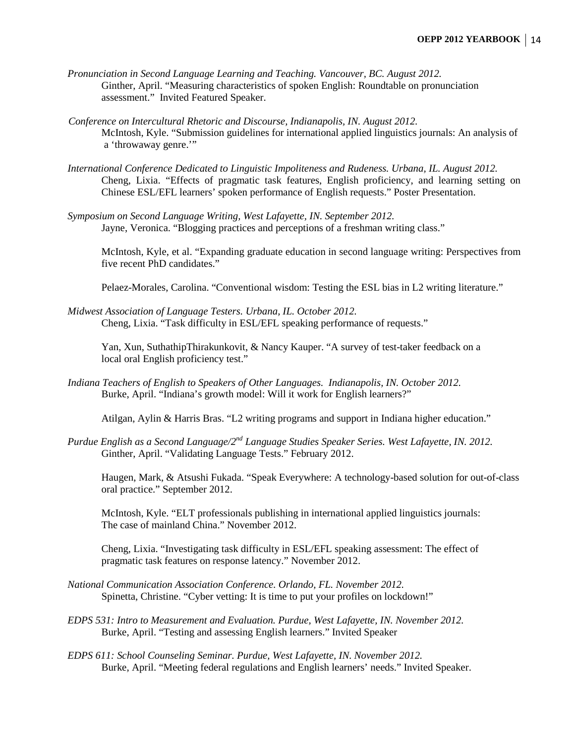- *Pronunciation in Second Language Learning and Teaching. Vancouver, BC. August 2012.* Ginther, April. "Measuring characteristics of spoken English: Roundtable on pronunciation assessment." Invited Featured Speaker.
- *Conference on Intercultural Rhetoric and Discourse, Indianapolis, IN. August 2012.* McIntosh, Kyle. "Submission guidelines for international applied linguistics journals: An analysis of a 'throwaway genre.'"
- *International Conference Dedicated to Linguistic Impoliteness and Rudeness. Urbana, IL. August 2012.* Cheng, Lixia. "Effects of pragmatic task features, English proficiency, and learning setting on Chinese ESL/EFL learners' spoken performance of English requests." Poster Presentation.
- *Symposium on Second Language Writing, West Lafayette, IN. September 2012.* Jayne, Veronica. "Blogging practices and perceptions of a freshman writing class."

McIntosh, Kyle, et al. "Expanding graduate education in second language writing: Perspectives from five recent PhD candidates."

Pelaez-Morales, Carolina. "Conventional wisdom: Testing the ESL bias in L2 writing literature."

*Midwest Association of Language Testers. Urbana, IL. October 2012.* Cheng, Lixia. "Task difficulty in ESL/EFL speaking performance of requests."

Yan, Xun, SuthathipThirakunkovit, & Nancy Kauper. "A survey of test-taker feedback on a local oral English proficiency test."

*Indiana Teachers of English to Speakers of Other Languages. Indianapolis, IN. October 2012.* Burke, April. "Indiana's growth model: Will it work for English learners?"

Atilgan, Aylin & Harris Bras. "L2 writing programs and support in Indiana higher education."

*Purdue English as a Second Language/2nd Language Studies Speaker Series. West Lafayette, IN. 2012.* Ginther, April. "Validating Language Tests." February 2012.

Haugen, Mark, & Atsushi Fukada. "Speak Everywhere: A technology-based solution for out-of-class oral practice." September 2012.

McIntosh, Kyle. "ELT professionals publishing in international applied linguistics journals: The case of mainland China." November 2012.

Cheng, Lixia. "Investigating task difficulty in ESL/EFL speaking assessment: The effect of pragmatic task features on response latency." November 2012.

- *National Communication Association Conference. Orlando, FL. November 2012.* Spinetta, Christine. "Cyber vetting: It is time to put your profiles on lockdown!"
- *EDPS 531: Intro to Measurement and Evaluation. Purdue, West Lafayette, IN. November 2012.* Burke, April. "Testing and assessing English learners." Invited Speaker
- *EDPS 611: School Counseling Seminar. Purdue, West Lafayette, IN. November 2012.* Burke, April. "Meeting federal regulations and English learners' needs." Invited Speaker.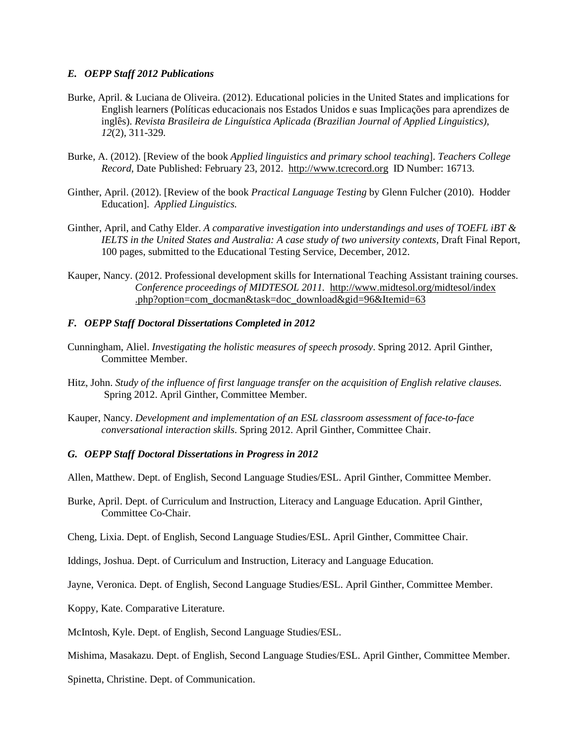#### <span id="page-15-0"></span>*E. OEPP Staff 2012 Publications*

- Burke, April. & Luciana de Oliveira. (2012). Educational policies in the United States and implications for English learners (Políticas educacionais nos Estados Unidos e suas Implicações para aprendizes de inglês). *Revista Brasileira de Linguística Aplicada (Brazilian Journal of Applied Linguistics), 12*(2), 311-329*.*
- Burke, A. (2012). [Review of the book *Applied linguistics and primary school teaching*]. *Teachers College Record*, Date Published: February 23, 2012. [http://www.tcrecord.org](http://www.tcrecord.org/) ID Number: 16713.
- Ginther, April. (2012). [Review of the book *Practical Language Testing* by Glenn Fulcher (2010). Hodder Education]. *Applied Linguistics.*
- Ginther, April, and Cathy Elder. *A comparative investigation into understandings and uses of TOEFL iBT & IELTS in the United States and Australia: A case study of two university contexts,* Draft Final Report, 100 pages, submitted to the Educational Testing Service, December, 2012.
- Kauper, Nancy. (2012. Professional development skills for International Teaching Assistant training courses. *Conference proceedings of MIDTESOL 2011.* http://www.midtesol.org/midtesol/index .php?option=com\_docman&task=doc\_download&gid=96&Itemid=63

#### <span id="page-15-1"></span>*F. OEPP Staff Doctoral Dissertations Completed in 2012*

- Cunningham, Aliel. *Investigating the holistic measures of speech prosody*. Spring 2012. April Ginther, Committee Member.
- Hitz, John. *Study of the influence of first language transfer on the acquisition of English relative clauses.* Spring 2012. April Ginther, Committee Member.
- Kauper, Nancy. *Development and implementation of an ESL classroom assessment of face-to-face conversational interaction skills*. Spring 2012. April Ginther, Committee Chair.

#### <span id="page-15-2"></span>*G. OEPP Staff Doctoral Dissertations in Progress in 2012*

Allen, Matthew. Dept. of English, Second Language Studies/ESL. April Ginther, Committee Member.

- Burke, April. Dept. of Curriculum and Instruction, Literacy and Language Education. April Ginther, Committee Co-Chair.
- Cheng, Lixia. Dept. of English, Second Language Studies/ESL. April Ginther, Committee Chair.
- Iddings, Joshua. Dept. of Curriculum and Instruction, Literacy and Language Education.

Jayne, Veronica. Dept. of English, Second Language Studies/ESL. April Ginther, Committee Member.

- Koppy, Kate. Comparative Literature.
- McIntosh, Kyle. Dept. of English, Second Language Studies/ESL.
- Mishima, Masakazu. Dept. of English, Second Language Studies/ESL. April Ginther, Committee Member.

Spinetta, Christine. Dept. of Communication.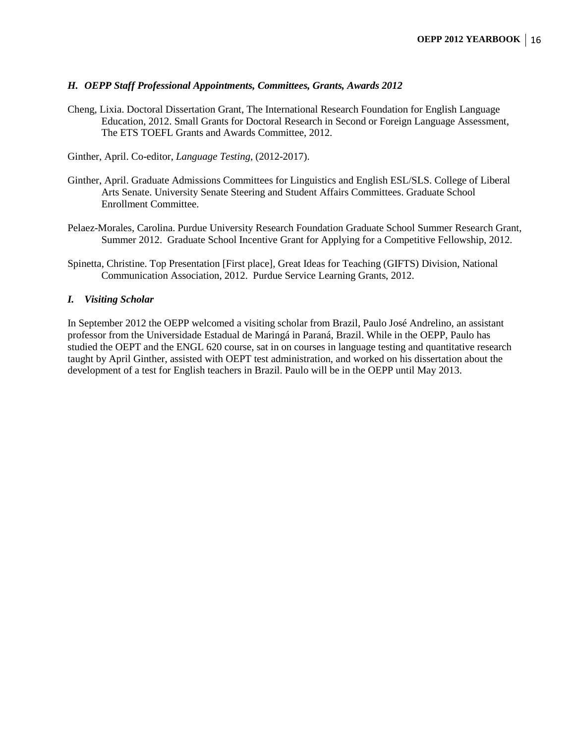#### <span id="page-16-0"></span>*H. OEPP Staff Professional Appointments, Committees, Grants, Awards 2012*

Cheng, Lixia. Doctoral Dissertation Grant, The International Research Foundation for English Language Education, 2012. Small Grants for Doctoral Research in Second or Foreign Language Assessment, The ETS TOEFL Grants and Awards Committee, 2012.

Ginther, April. Co-editor, *Language Testing*, (2012-2017).

- Ginther, April. Graduate Admissions Committees for Linguistics and English ESL/SLS. College of Liberal Arts Senate. University Senate Steering and Student Affairs Committees. Graduate School Enrollment Committee.
- Pelaez-Morales, Carolina. Purdue University Research Foundation Graduate School Summer Research Grant, Summer 2012. Graduate School Incentive Grant for Applying for a Competitive Fellowship, 2012.
- Spinetta, Christine. Top Presentation [First place], Great Ideas for Teaching (GIFTS) Division, National Communication Association, 2012. Purdue Service Learning Grants, 2012.

#### <span id="page-16-1"></span>*I. Visiting Scholar*

In September 2012 the OEPP welcomed a visiting scholar from Brazil, Paulo José Andrelino, an assistant professor from the Universidade Estadual de Maringá in Paraná, Brazil. While in the OEPP, Paulo has studied the OEPT and the ENGL 620 course, sat in on courses in language testing and quantitative research taught by April Ginther, assisted with OEPT test administration, and worked on his dissertation about the development of a test for English teachers in Brazil. Paulo will be in the OEPP until May 2013.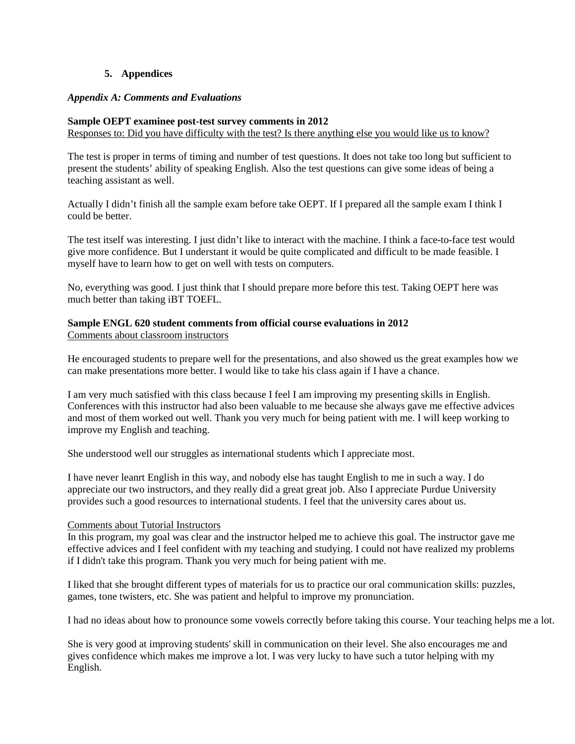#### **5. Appendices**

#### <span id="page-17-1"></span><span id="page-17-0"></span>*Appendix A: Comments and Evaluations*

# **Sample OEPT examinee post-test survey comments in 2012**

Responses to: Did you have difficulty with the test? Is there anything else you would like us to know?

The test is proper in terms of timing and number of test questions. It does not take too long but sufficient to present the students' ability of speaking English. Also the test questions can give some ideas of being a teaching assistant as well.

Actually I didn't finish all the sample exam before take OEPT. If I prepared all the sample exam I think I could be better.

The test itself was interesting. I just didn't like to interact with the machine. I think a face-to-face test would give more confidence. But I understant it would be quite complicated and difficult to be made feasible. I myself have to learn how to get on well with tests on computers.

No, everything was good. I just think that I should prepare more before this test. Taking OEPT here was much better than taking iBT TOEFL.

#### **Sample ENGL 620 student comments from official course evaluations in 2012** Comments about classroom instructors

He encouraged students to prepare well for the presentations, and also showed us the great examples how we can make presentations more better. I would like to take his class again if I have a chance.

I am very much satisfied with this class because I feel I am improving my presenting skills in English. Conferences with this instructor had also been valuable to me because she always gave me effective advices and most of them worked out well. Thank you very much for being patient with me. I will keep working to improve my English and teaching.

She understood well our struggles as international students which I appreciate most.

I have never leanrt English in this way, and nobody else has taught English to me in such a way. I do appreciate our two instructors, and they really did a great great job. Also I appreciate Purdue University provides such a good resources to international students. I feel that the university cares about us.

# Comments about Tutorial Instructors

In this program, my goal was clear and the instructor helped me to achieve this goal. The instructor gave me effective advices and I feel confident with my teaching and studying. I could not have realized my problems if I didn't take this program. Thank you very much for being patient with me.

I liked that she brought different types of materials for us to practice our oral communication skills: puzzles, games, tone twisters, etc. She was patient and helpful to improve my pronunciation.

I had no ideas about how to pronounce some vowels correctly before taking this course. Your teaching helps me a lot.

She is very good at improving students' skill in communication on their level. She also encourages me and gives confidence which makes me improve a lot. I was very lucky to have such a tutor helping with my English.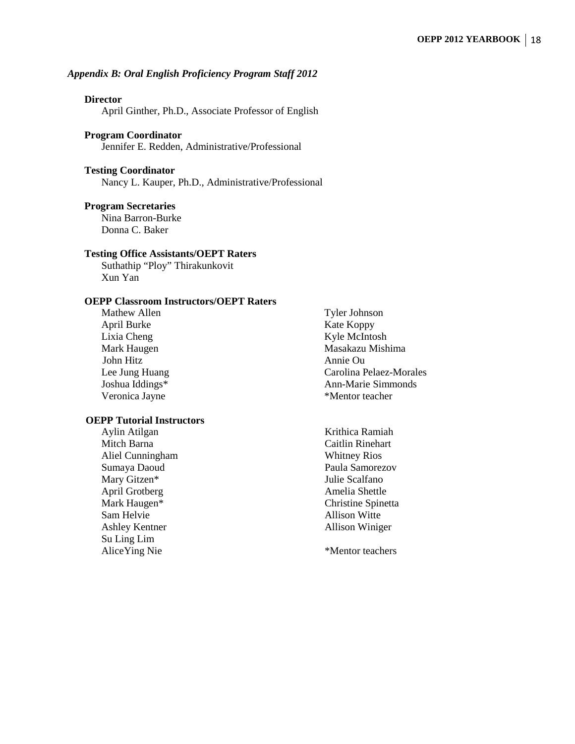#### <span id="page-18-0"></span>*Appendix B: Oral English Proficiency Program Staff 2012*

#### **Director**

April Ginther, Ph.D., Associate Professor of English

#### **Program Coordinator**

Jennifer E. Redden, Administrative/Professional

#### **Testing Coordinator**

Nancy L. Kauper, Ph.D., Administrative/Professional

#### **Program Secretaries**

Nina Barron-Burke Donna C. Baker

#### **Testing Office Assistants/OEPT Raters**

Suthathip "Ploy" Thirakunkovit Xun Yan

# **OEPP Classroom Instructors/OEPT Raters**

Mathew Allen Tyler Johnson April Burke Koppy Lixia Cheng Kyle McIntosh John Hitz<br>
Lee Jung Huang<br>
Carolina F

#### **OEPP Tutorial Instructors**

- Mitch Barna Caitlin Rinehart Aliel Cunningham Whitney Rios Sumaya Daoud **Paula Samorezov** Mary Gitzen\* Julie Scalfano April Grotberg **Amelia** Shettle Mark Haugen\* Christine Spinetta Sam Helvie Allison Witte Ashley Kentner Allison Winiger Su Ling Lim Alice Ying Nie \*Mentor teachers
- Mark Haugen Masakazu Mishima Carolina Pelaez-Morales Joshua Iddings\* Ann-Marie Simmonds Veronica Jayne \*Mentor teacher

Aylin Atilgan Krithica Ramiah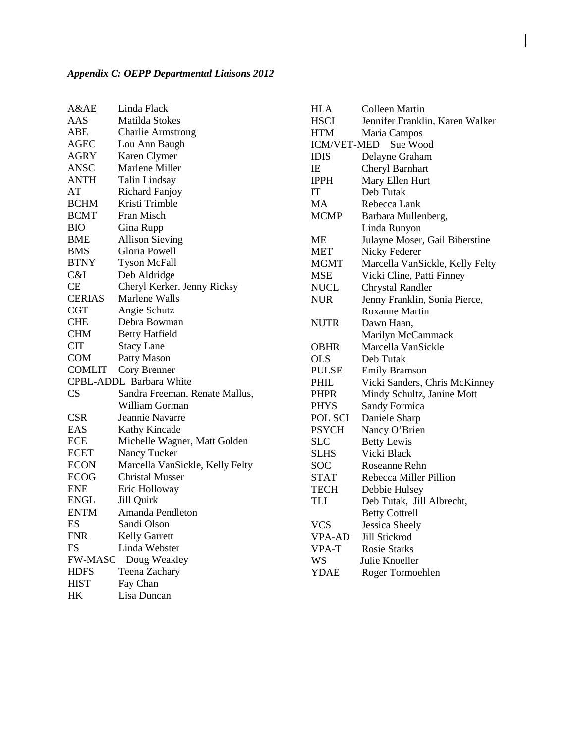<span id="page-19-0"></span>

| A&AE           | Linda Flack                     |
|----------------|---------------------------------|
| AAS            | Matilda Stokes                  |
| ABE            | <b>Charlie Armstrong</b>        |
| AGEC           | Lou Ann Baugh                   |
| <b>AGRY</b>    | Karen Clymer                    |
| ANSC           | Marlene Miller                  |
| <b>ANTH</b>    | Talin Lindsay                   |
| AT             | <b>Richard Fanjoy</b>           |
| <b>BCHM</b>    | Kristi Trimble                  |
| <b>BCMT</b>    | Fran Misch                      |
| <b>BIO</b>     | Gina Rupp                       |
| <b>BME</b>     | <b>Allison Sieving</b>          |
| <b>BMS</b>     | Gloria Powell                   |
| <b>BTNY</b>    | <b>Tyson McFall</b>             |
| C&I            | Deb Aldridge                    |
| CE             | Cheryl Kerker, Jenny Ricksy     |
| <b>CERIAS</b>  | Marlene Walls                   |
| <b>CGT</b>     | Angie Schutz                    |
| <b>CHE</b>     | Debra Bowman                    |
| <b>CHM</b>     | <b>Betty Hatfield</b>           |
| <b>CIT</b>     | <b>Stacy Lane</b>               |
| <b>COM</b>     | Patty Mason                     |
| <b>COMLIT</b>  | Cory Brenner                    |
|                | CPBL-ADDL Barbara White         |
| CS             | Sandra Freeman, Renate Mallus,  |
|                | William Gorman                  |
| <b>CSR</b>     | Jeannie Navarre                 |
| EAS            | <b>Kathy Kincade</b>            |
| <b>ECE</b>     | Michelle Wagner, Matt Golden    |
| <b>ECET</b>    | Nancy Tucker                    |
| <b>ECON</b>    | Marcella VanSickle, Kelly Felty |
| <b>ECOG</b>    | <b>Christal Musser</b>          |
| <b>ENE</b>     | Eric Holloway                   |
| <b>ENGL</b>    | Jill Quirk                      |
| <b>ENTM</b>    | Amanda Pendleton                |
| ES             | Sandi Olson                     |
| <b>FNR</b>     | <b>Kelly Garrett</b>            |
| FS             | Linda Webster                   |
| <b>FW-MASC</b> | Doug Weakley                    |
| <b>HDFS</b>    | Teena Zachary                   |
| <b>HIST</b>    | Fay Chan                        |
| HK             | Lisa Duncan                     |

| <b>HLA</b>              | <b>Colleen Martin</b>           |  |  |  |  |
|-------------------------|---------------------------------|--|--|--|--|
| <b>HSCI</b>             | Jennifer Franklin, Karen Walker |  |  |  |  |
| <b>HTM</b>              | Maria Campos                    |  |  |  |  |
| Sue Wood<br>ICM/VET-MED |                                 |  |  |  |  |
| <b>IDIS</b>             | Delayne Graham                  |  |  |  |  |
| IΕ                      | Cheryl Barnhart                 |  |  |  |  |
| <b>IPPH</b>             | Mary Ellen Hurt                 |  |  |  |  |
| IT                      | Deb Tutak                       |  |  |  |  |
| MA                      | Rebecca Lank                    |  |  |  |  |
| <b>MCMP</b>             | Barbara Mullenberg,             |  |  |  |  |
|                         | Linda Runyon                    |  |  |  |  |
| MЕ                      | Julayne Moser, Gail Biberstine  |  |  |  |  |
| <b>MET</b>              | Nicky Federer                   |  |  |  |  |
| <b>MGMT</b>             | Marcella VanSickle, Kelly Felty |  |  |  |  |
| <b>MSE</b>              | Vicki Cline, Patti Finney       |  |  |  |  |
| <b>NUCL</b>             | <b>Chrystal Randler</b>         |  |  |  |  |
| <b>NUR</b>              | Jenny Franklin, Sonia Pierce,   |  |  |  |  |
|                         | <b>Roxanne Martin</b>           |  |  |  |  |
| <b>NUTR</b>             | Dawn Haan,                      |  |  |  |  |
|                         | Marilyn McCammack               |  |  |  |  |
| <b>OBHR</b>             | Marcella VanSickle              |  |  |  |  |
| OLS                     | Deb Tutak                       |  |  |  |  |
| <b>PULSE</b>            | <b>Emily Bramson</b>            |  |  |  |  |
| PHIL                    | Vicki Sanders, Chris McKinney   |  |  |  |  |
| <b>PHPR</b>             | Mindy Schultz, Janine Mott      |  |  |  |  |
| <b>PHYS</b>             | <b>Sandy Formica</b>            |  |  |  |  |
| POL SCI                 | Daniele Sharp                   |  |  |  |  |
| <b>PSYCH</b>            | Nancy O'Brien                   |  |  |  |  |
| <b>SLC</b>              | <b>Betty Lewis</b>              |  |  |  |  |
| <b>SLHS</b>             | Vicki Black                     |  |  |  |  |
| SOC                     | Roseanne Rehn                   |  |  |  |  |
| <b>STAT</b>             | Rebecca Miller Pillion          |  |  |  |  |
| <b>TECH</b>             | Debbie Hulsey                   |  |  |  |  |
| <b>TLI</b>              | Deb Tutak, Jill Albrecht,       |  |  |  |  |
|                         | <b>Betty Cottrell</b>           |  |  |  |  |
| <b>VCS</b>              | <b>Jessica Sheely</b>           |  |  |  |  |
| <b>VPA-AD</b>           | Jill Stickrod                   |  |  |  |  |
| VPA-T                   | <b>Rosie Starks</b>             |  |  |  |  |
| <b>WS</b>               | Julie Knoeller                  |  |  |  |  |
| <b>YDAE</b>             | Roger Tormoehlen                |  |  |  |  |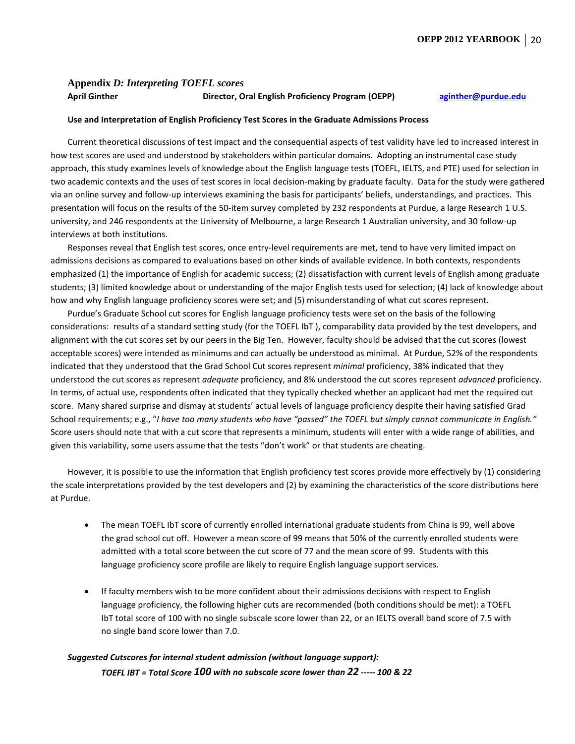#### <span id="page-20-0"></span>**Appendix** *D: Interpreting TOEFL scores* **April Ginther Director, Oral English Proficiency Program (OEPP) [aginther@purdue.edu](mailto:aginther@purdue.edu)**

#### **Use and Interpretation of English Proficiency Test Scores in the Graduate Admissions Process**

Current theoretical discussions of test impact and the consequential aspects of test validity have led to increased interest in how test scores are used and understood by stakeholders within particular domains. Adopting an instrumental case study approach, this study examines levels of knowledge about the English language tests (TOEFL, IELTS, and PTE) used for selection in two academic contexts and the uses of test scores in local decision-making by graduate faculty. Data for the study were gathered via an online survey and follow-up interviews examining the basis for participants' beliefs, understandings, and practices. This presentation will focus on the results of the 50-item survey completed by 232 respondents at Purdue, a large Research 1 U.S. university, and 246 respondents at the University of Melbourne, a large Research 1 Australian university, and 30 follow-up interviews at both institutions.

Responses reveal that English test scores, once entry-level requirements are met, tend to have very limited impact on admissions decisions as compared to evaluations based on other kinds of available evidence. In both contexts, respondents emphasized (1) the importance of English for academic success; (2) dissatisfaction with current levels of English among graduate students; (3) limited knowledge about or understanding of the major English tests used for selection; (4) lack of knowledge about how and why English language proficiency scores were set; and (5) misunderstanding of what cut scores represent.

Purdue's Graduate School cut scores for English language proficiency tests were set on the basis of the following considerations: results of a standard setting study (for the TOEFL IbT ), comparability data provided by the test developers, and alignment with the cut scores set by our peers in the Big Ten. However, faculty should be advised that the cut scores (lowest acceptable scores) were intended as minimums and can actually be understood as minimal. At Purdue, 52% of the respondents indicated that they understood that the Grad School Cut scores represent *minimal* proficiency, 38% indicated that they understood the cut scores as represent *adequate* proficiency, and 8% understood the cut scores represent *advanced* proficiency. In terms, of actual use, respondents often indicated that they typically checked whether an applicant had met the required cut score. Many shared surprise and dismay at students' actual levels of language proficiency despite their having satisfied Grad School requirements; e.g., "*I have too many students who have "passed" the TOEFL but simply cannot communicate in English."*  Score users should note that with a cut score that represents a minimum, students will enter with a wide range of abilities, and given this variability, some users assume that the tests "don't work" or that students are cheating.

However, it is possible to use the information that English proficiency test scores provide more effectively by (1) considering the scale interpretations provided by the test developers and (2) by examining the characteristics of the score distributions here at Purdue.

- The mean TOEFL IbT score of currently enrolled international graduate students from China is 99, well above the grad school cut off. However a mean score of 99 means that 50% of the currently enrolled students were admitted with a total score between the cut score of 77 and the mean score of 99. Students with this language proficiency score profile are likely to require English language support services.
- If faculty members wish to be more confident about their admissions decisions with respect to English language proficiency, the following higher cuts are recommended (both conditions should be met): a TOEFL IbT total score of 100 with no single subscale score lower than 22, or an IELTS overall band score of 7.5 with no single band score lower than 7.0.

# *Suggested Cutscores for internal student admission (without language support): TOEFL IBT = Total Score 100 with no subscale score lower than 22 ----- 100 & 22*